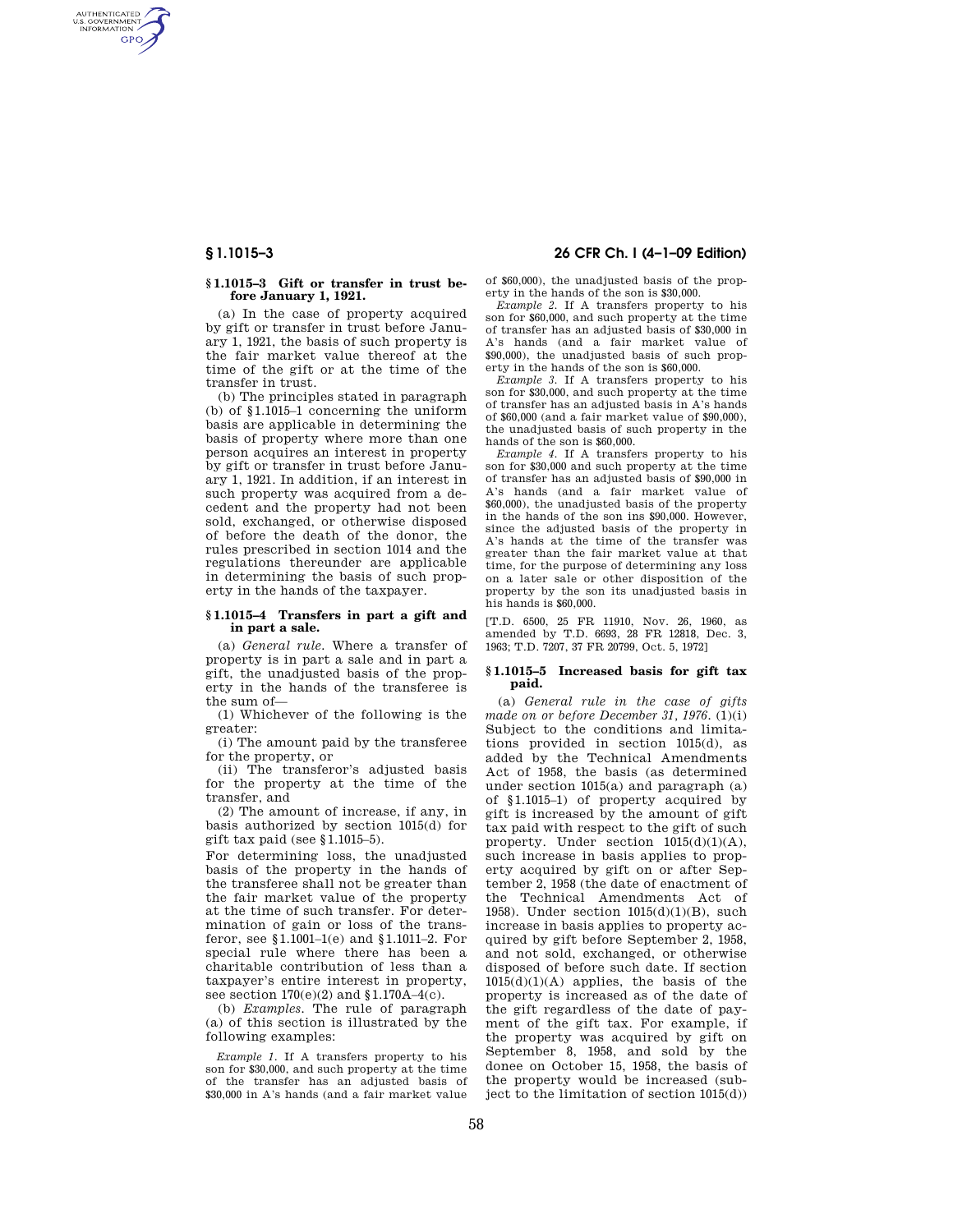AUTHENTICATED<br>U.S. GOVERNMENT<br>INFORMATION **GPO** 

### **§ 1.1015–3 Gift or transfer in trust before January 1, 1921.**

(a) In the case of property acquired by gift or transfer in trust before January 1, 1921, the basis of such property is the fair market value thereof at the time of the gift or at the time of the transfer in trust.

(b) The principles stated in paragraph (b) of §1.1015–1 concerning the uniform basis are applicable in determining the basis of property where more than one person acquires an interest in property by gift or transfer in trust before January 1, 1921. In addition, if an interest in such property was acquired from a decedent and the property had not been sold, exchanged, or otherwise disposed of before the death of the donor, the rules prescribed in section 1014 and the regulations thereunder are applicable in determining the basis of such property in the hands of the taxpayer.

## **§ 1.1015–4 Transfers in part a gift and in part a sale.**

(a) *General rule.* Where a transfer of property is in part a sale and in part a gift, the unadjusted basis of the property in the hands of the transferee is the sum of—

(1) Whichever of the following is the greater:

(i) The amount paid by the transferee for the property, or

(ii) The transferor's adjusted basis for the property at the time of the transfer, and

(2) The amount of increase, if any, in basis authorized by section 1015(d) for gift tax paid (see §1.1015–5).

For determining loss, the unadjusted basis of the property in the hands of the transferee shall not be greater than the fair market value of the property at the time of such transfer. For determination of gain or loss of the transferor, see §1.1001–1(e) and §1.1011–2. For special rule where there has been a charitable contribution of less than a taxpayer's entire interest in property, see section 170(e)(2) and §1.170A–4(c).

(b) *Examples.* The rule of paragraph (a) of this section is illustrated by the following examples:

*Example 1.* If A transfers property to his son for \$30,000, and such property at the time of the transfer has an adjusted basis of \$30,000 in A's hands (and a fair market value

# **§ 1.1015–3 26 CFR Ch. I (4–1–09 Edition)**

of \$60,000), the unadjusted basis of the property in the hands of the son is \$30,000.

*Example 2.* If A transfers property to his son for \$60,000, and such property at the time of transfer has an adjusted basis of \$30,000 in A's hands (and a fair market value of \$90,000), the unadjusted basis of such property in the hands of the son is \$60,000.

*Example 3.* If A transfers property to his son for \$30,000, and such property at the time of transfer has an adjusted basis in A's hands of \$60,000 (and a fair market value of \$90,000), the unadjusted basis of such property in the hands of the son is \$60,000.

*Example 4.* If A transfers property to his son for \$30,000 and such property at the time of transfer has an adjusted basis of \$90,000 in A's hands (and a fair market value of \$60,000), the unadjusted basis of the property in the hands of the son ins \$90,000. However, since the adjusted basis of the property in A's hands at the time of the transfer was greater than the fair market value at that time, for the purpose of determining any loss on a later sale or other disposition of the property by the son its unadjusted basis in his hands is \$60,000.

[T.D. 6500, 25 FR 11910, Nov. 26, 1960, as amended by T.D. 6693, 28 FR 12818, Dec. 3, 1963; T.D. 7207, 37 FR 20799, Oct. 5, 1972]

### **§ 1.1015–5 Increased basis for gift tax paid.**

(a) *General rule in the case of gifts made on or before December 31, 1976.* (1)(i) Subject to the conditions and limitations provided in section 1015(d), as added by the Technical Amendments Act of 1958, the basis (as determined under section 1015(a) and paragraph (a) of §1.1015–1) of property acquired by gift is increased by the amount of gift tax paid with respect to the gift of such property. Under section  $1015(d)(1)(A)$ , such increase in basis applies to property acquired by gift on or after September 2, 1958 (the date of enactment of the Technical Amendments Act of 1958). Under section 1015(d)(1)(B), such increase in basis applies to property acquired by gift before September 2, 1958, and not sold, exchanged, or otherwise disposed of before such date. If section  $1015(d)(1)(A)$  applies, the basis of the property is increased as of the date of the gift regardless of the date of payment of the gift tax. For example, if the property was acquired by gift on September 8, 1958, and sold by the donee on October 15, 1958, the basis of the property would be increased (subject to the limitation of section 1015(d))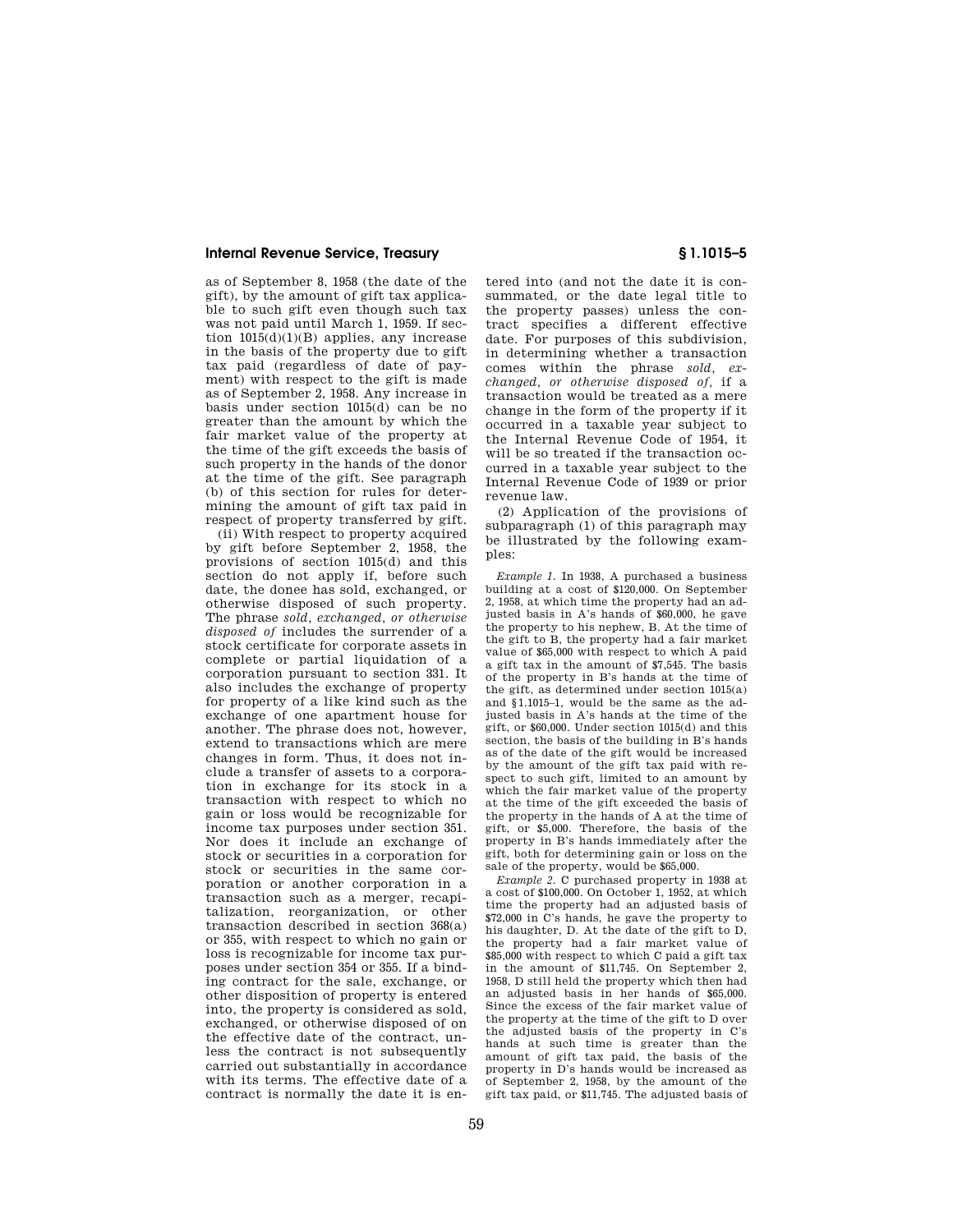## **Internal Revenue Service, Treasury § 1.1015–5**

as of September 8, 1958 (the date of the gift), by the amount of gift tax applicable to such gift even though such tax was not paid until March 1, 1959. If section 1015(d)(1)(B) applies, any increase in the basis of the property due to gift tax paid (regardless of date of payment) with respect to the gift is made as of September 2, 1958. Any increase in basis under section 1015(d) can be no greater than the amount by which the fair market value of the property at the time of the gift exceeds the basis of such property in the hands of the donor at the time of the gift. See paragraph (b) of this section for rules for determining the amount of gift tax paid in respect of property transferred by gift.

(ii) With respect to property acquired by gift before September 2, 1958, the provisions of section 1015(d) and this section do not apply if, before such date, the donee has sold, exchanged, or otherwise disposed of such property. The phrase *sold, exchanged, or otherwise disposed of* includes the surrender of a stock certificate for corporate assets in complete or partial liquidation of a corporation pursuant to section 331. It also includes the exchange of property for property of a like kind such as the exchange of one apartment house for another. The phrase does not, however, extend to transactions which are mere changes in form. Thus, it does not include a transfer of assets to a corporation in exchange for its stock in a transaction with respect to which no gain or loss would be recognizable for income tax purposes under section 351. Nor does it include an exchange of stock or securities in a corporation for stock or securities in the same corporation or another corporation in a transaction such as a merger, recapitalization, reorganization, or other transaction described in section 368(a) or 355, with respect to which no gain or loss is recognizable for income tax purposes under section 354 or 355. If a binding contract for the sale, exchange, or other disposition of property is entered into, the property is considered as sold, exchanged, or otherwise disposed of on the effective date of the contract, unless the contract is not subsequently carried out substantially in accordance with its terms. The effective date of a contract is normally the date it is en-

tered into (and not the date it is consummated, or the date legal title to the property passes) unless the contract specifies a different effective date. For purposes of this subdivision, in determining whether a transaction comes within the phrase *sold, exchanged, or otherwise disposed of,* if a transaction would be treated as a mere change in the form of the property if it occurred in a taxable year subject to the Internal Revenue Code of 1954, it will be so treated if the transaction occurred in a taxable year subject to the Internal Revenue Code of 1939 or prior revenue law.

(2) Application of the provisions of subparagraph (1) of this paragraph may be illustrated by the following examples:

*Example 1.* In 1938, A purchased a business building at a cost of \$120,000. On September 2, 1958, at which time the property had an adjusted basis in A's hands of \$60,000, he gave the property to his nephew, B. At the time of the gift to B, the property had a fair market value of \$65,000 with respect to which A paid a gift tax in the amount of \$7,545. The basis of the property in B's hands at the time of the gift, as determined under section 1015(a) and §1.1015–1, would be the same as the adjusted basis in A's hands at the time of the gift, or \$60,000. Under section 1015(d) and this section, the basis of the building in B's hands as of the date of the gift would be increased by the amount of the gift tax paid with respect to such gift, limited to an amount by which the fair market value of the property at the time of the gift exceeded the basis of the property in the hands of A at the time of gift, or \$5,000. Therefore, the basis of the property in B's hands immediately after the gift, both for determining gain or loss on the sale of the property, would be \$65,000.

*Example 2.* C purchased property in 1938 at a cost of \$100,000. On October 1, 1952, at which time the property had an adjusted basis of \$72,000 in C's hands, he gave the property to his daughter, D. At the date of the gift to D, the property had a fair market value of \$85,000 with respect to which C paid a gift tax in the amount of \$11,745. On September 2, 1958, D still held the property which then had an adjusted basis in her hands of \$65,000. Since the excess of the fair market value of the property at the time of the gift to D over the adjusted basis of the property in C's hands at such time is greater than the amount of gift tax paid, the basis of the property in D's hands would be increased as of September 2, 1958, by the amount of the gift tax paid, or \$11,745. The adjusted basis of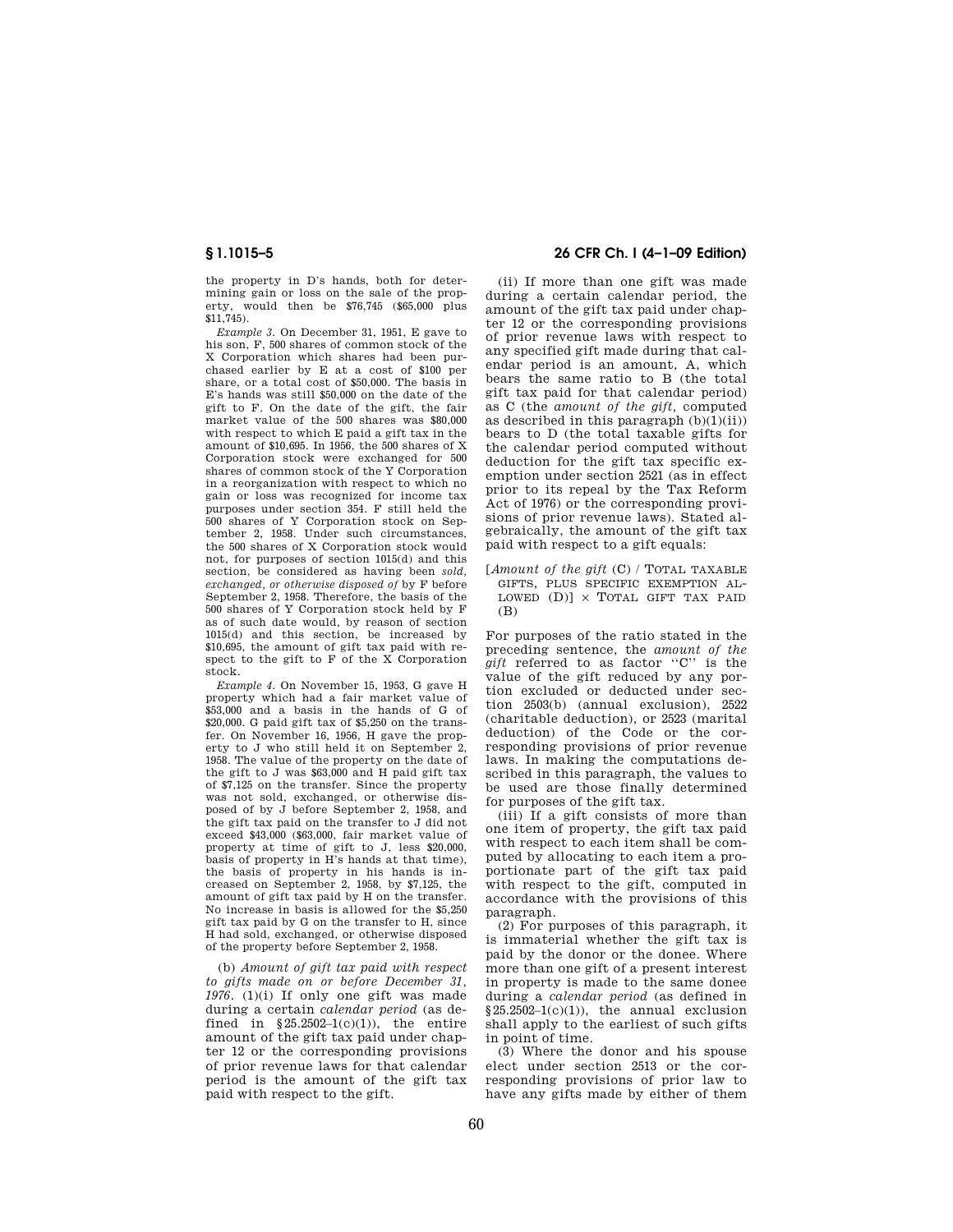the property in D's hands, both for determining gain or loss on the sale of the property, would then be \$76,745 (\$65,000 plus \$11,745).

*Example 3.* On December 31, 1951, E gave to his son, F, 500 shares of common stock of the X Corporation which shares had been purchased earlier by E at a cost of \$100 per share, or a total cost of \$50,000. The basis in E's hands was still \$50,000 on the date of the gift to F. On the date of the gift, the fair market value of the 500 shares was \$80,000 with respect to which E paid a gift tax in the amount of \$10,695. In 1956, the 500 shares of X Corporation stock were exchanged for 500 shares of common stock of the Y Corporation in a reorganization with respect to which no gain or loss was recognized for income tax purposes under section 354. F still held the 500 shares of Y Corporation stock on September 2, 1958. Under such circumstances, the 500 shares of X Corporation stock would not, for purposes of section 1015(d) and this section, be considered as having been *sold, exchanged, or otherwise disposed of* by F before September 2, 1958. Therefore, the basis of the 500 shares of Y Corporation stock held by F as of such date would, by reason of section 1015(d) and this section, be increased by \$10,695, the amount of gift tax paid with respect to the gift to F of the X Corporation stock.

*Example 4.* On November 15, 1953, G gave H property which had a fair market value of \$53,000 and a basis in the hands of G of \$20,000. G paid gift tax of \$5,250 on the transfer. On November 16, 1956, H gave the property to J who still held it on September 2, 1958. The value of the property on the date of the gift to J was \$63,000 and H paid gift tax of \$7,125 on the transfer. Since the property was not sold, exchanged, or otherwise disposed of by J before September 2, 1958, and the gift tax paid on the transfer to J did not exceed \$43,000 (\$63,000, fair market value of property at time of gift to J, less \$20,000, basis of property in H's hands at that time), the basis of property in his hands is increased on September 2, 1958, by \$7,125, the amount of gift tax paid by H on the transfer. No increase in basis is allowed for the \$5,250 gift tax paid by G on the transfer to H, since H had sold, exchanged, or otherwise disposed of the property before September 2, 1958.

(b) *Amount of gift tax paid with respect to gifts made on or before December 31, 1976.* (1)(i) If only one gift was made during a certain *calendar period* (as defined in  $$25.2502-1(c)(1)$ , the entire amount of the gift tax paid under chapter 12 or the corresponding provisions of prior revenue laws for that calendar period is the amount of the gift tax paid with respect to the gift.

# **§ 1.1015–5 26 CFR Ch. I (4–1–09 Edition)**

(ii) If more than one gift was made during a certain calendar period, the amount of the gift tax paid under chapter 12 or the corresponding provisions of prior revenue laws with respect to any specified gift made during that calendar period is an amount, A, which bears the same ratio to B (the total gift tax paid for that calendar period) as C (the *amount of the gift,* computed as described in this paragraph  $(b)(1)(ii))$ bears to D (the total taxable gifts for the calendar period computed without deduction for the gift tax specific exemption under section 2521 (as in effect prior to its repeal by the Tax Reform Act of 1976) or the corresponding provisions of prior revenue laws). Stated algebraically, the amount of the gift tax paid with respect to a gift equals:

[*Amount of the gift* (C) / TOTAL TAXABLE GIFTS, PLUS SPECIFIC EXEMPTION AL-LOWED  $(D)$ ]  $\times$  TOTAL GIFT TAX PAID (B)

For purposes of the ratio stated in the preceding sentence, the *amount of the gift* referred to as factor ''C'' is the value of the gift reduced by any portion excluded or deducted under section 2503(b) (annual exclusion), 2522 (charitable deduction), or 2523 (marital deduction) of the Code or the corresponding provisions of prior revenue laws. In making the computations described in this paragraph, the values to be used are those finally determined for purposes of the gift tax.

(iii) If a gift consists of more than one item of property, the gift tax paid with respect to each item shall be computed by allocating to each item a proportionate part of the gift tax paid with respect to the gift, computed in accordance with the provisions of this paragraph.

(2) For purposes of this paragraph, it is immaterial whether the gift tax is paid by the donor or the donee. Where more than one gift of a present interest in property is made to the same donee during a *calendar period* (as defined in  $§25.2502-1(c)(1)),$  the annual exclusion shall apply to the earliest of such gifts in point of time.

(3) Where the donor and his spouse elect under section 2513 or the corresponding provisions of prior law to have any gifts made by either of them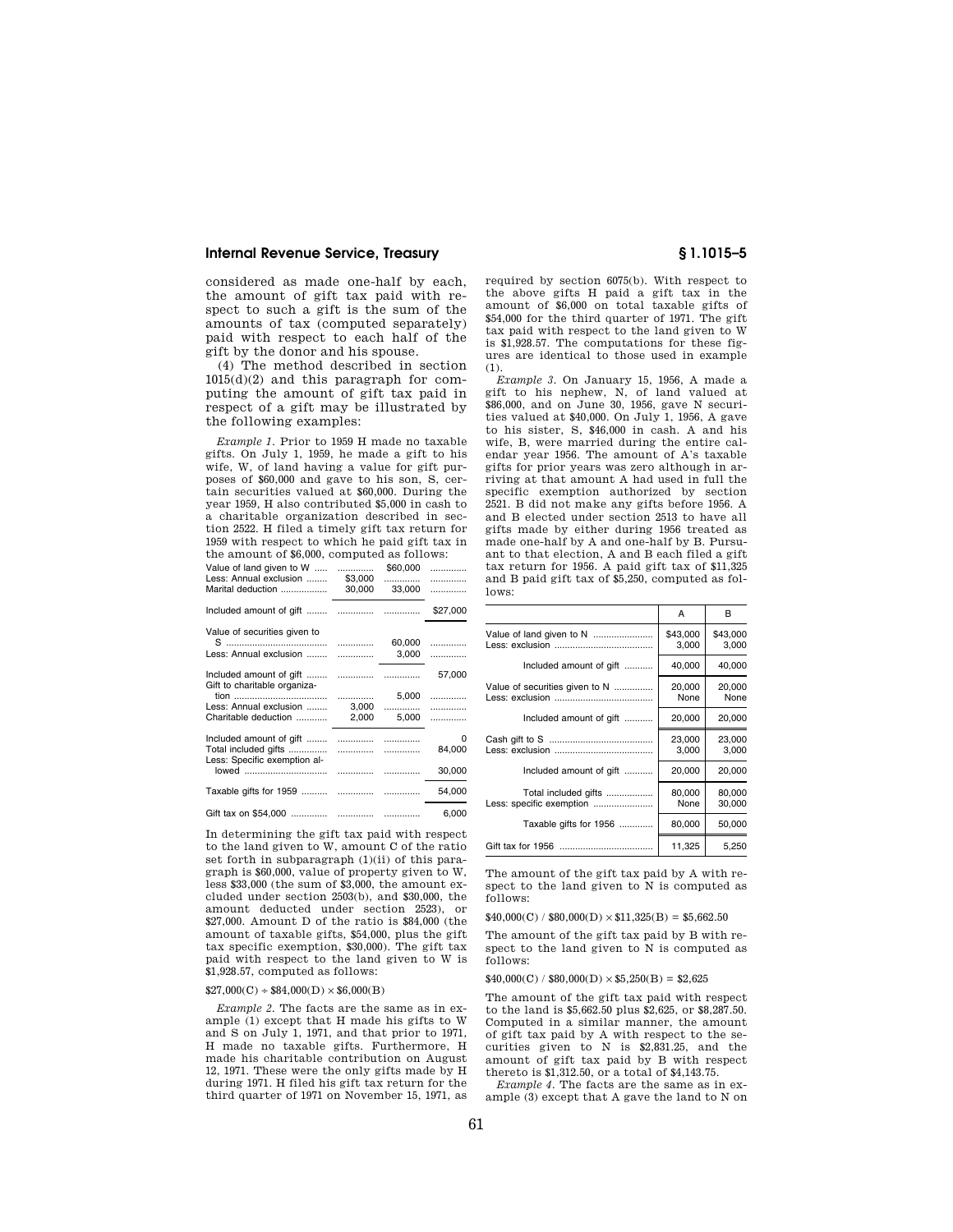# **Internal Revenue Service, Treasury § 1.1015–5**

considered as made one-half by each, the amount of gift tax paid with respect to such a gift is the sum of the amounts of tax (computed separately) paid with respect to each half of the gift by the donor and his spouse.

(4) The method described in section 1015(d)(2) and this paragraph for computing the amount of gift tax paid in respect of a gift may be illustrated by the following examples:

*Example 1.* Prior to 1959 H made no taxable gifts. On July 1, 1959, he made a gift to his wife, W, of land having a value for gift purposes of \$60,000 and gave to his son, S, certain securities valued at \$60,000. During the year 1959, H also contributed \$5,000 in cash to a charitable organization described in section 2522. H filed a timely gift tax return for 1959 with respect to which he paid gift tax in the amount of \$6,000, computed as follows:

| Value of land given to W<br>Less: Annual exclusion<br>Marital deduction         | .<br>\$3,000<br>30,000   | \$60,000<br>.<br>33,000 | .<br>.<br>. |
|---------------------------------------------------------------------------------|--------------------------|-------------------------|-------------|
|                                                                                 |                          |                         | \$27,000    |
| Value of securities given to<br>Less: Annual exclusion                          |                          | 60,000<br>3,000         | .<br>.      |
| Gift to charitable organiza-                                                    |                          |                         | 57,000      |
|                                                                                 |                          | 5,000                   | .           |
| Less: Annual exclusion<br>Charitable deduction                                  | 3,000<br>2,000           | .<br>5,000              | .<br>.      |
| Included amount of gift<br>Total included gifts<br>Less: Specific exemption al- | 1.1.1.1.1.1.1.1.1.1<br>. | <br>.                   | o<br>84,000 |
| lowed                                                                           |                          |                         | 30,000      |
|                                                                                 |                          |                         | 54,000      |
|                                                                                 |                          |                         | 6,000       |

In determining the gift tax paid with respect to the land given to W, amount C of the ratio set forth in subparagraph (1)(ii) of this paragraph is \$60,000, value of property given to W, less \$33,000 (the sum of \$3,000, the amount excluded under section 2503(b), and \$30,000, the amount deducted under section 2523), or  $$27,000$  Amount D of the ratio is  $$84,000$  (the amount of taxable gifts, \$54,000, plus the gift tax specific exemption, \$30,000). The gift tax paid with respect to the land given to W is \$1,928.57, computed as follows:

## $$27,000(C) + $84,000(D) \times $6,000(B)$

*Example 2.* The facts are the same as in example (1) except that H made his gifts to W and S on July 1, 1971, and that prior to 1971, H made no taxable gifts. Furthermore, H made his charitable contribution on August 12, 1971. These were the only gifts made by H during 1971. H filed his gift tax return for the third quarter of 1971 on November 15, 1971, as

required by section 6075(b). With respect to the above gifts H paid a gift tax in the amount of \$6,000 on total taxable gifts of \$54,000 for the third quarter of 1971. The gift tax paid with respect to the land given to W is \$1,928.57. The computations for these figures are identical to those used in example (1).

*Example 3.* On January 15, 1956, A made a gift to his nephew, N, of land valued at \$86,000, and on June 30, 1956, gave N securities valued at \$40,000. On July 1, 1956, A gave to his sister, S, \$46,000 in cash. A and his wife, B, were married during the entire calendar year 1956. The amount of A's taxable gifts for prior years was zero although in arriving at that amount A had used in full the specific exemption authorized by section 2521. B did not make any gifts before 1956. A and B elected under section 2513 to have all gifts made by either during 1956 treated as made one-half by A and one-half by B. Pursuant to that election, A and B each filed a gift tax return for 1956. A paid gift tax of \$11,325 and B paid gift tax of \$5,250, computed as follows:

|                                                  | А                 | в                 |
|--------------------------------------------------|-------------------|-------------------|
| Value of land given to N                         | \$43,000<br>3,000 | \$43,000<br>3,000 |
| Included amount of gift                          | 40,000            | 40,000            |
| Value of securities given to N                   | 20,000<br>None    | 20,000<br>None    |
| Included amount of gift                          | 20,000            | 20,000            |
|                                                  | 23,000<br>3,000   | 23,000<br>3,000   |
| Included amount of gift                          | 20,000            | 20,000            |
| Total included gifts<br>Less: specific exemption | 80,000<br>None    | 80,000<br>30,000  |
| Taxable gifts for 1956                           | 80,000            | 50,000            |
|                                                  | 11,325            | 5,250             |

The amount of the gift tax paid by A with respect to the land given to N is computed as follows:

 $$40,000(C) / $80,000(D) \times $11,325(B) = $5,662.50$ 

The amount of the gift tax paid by B with respect to the land given to N is computed as follows:

 $$40,000(C)/$80,000(D) \times $5,250(B) = $2,625$ 

The amount of the gift tax paid with respect to the land is \$5,662.50 plus \$2,625, or \$8,287.50. Computed in a similar manner, the amount of gift tax paid by A with respect to the securities given to N is \$2,831.25, and the amount of gift tax paid by B with respect thereto is \$1,312.50, or a total of \$4,143.75.

*Example 4.* The facts are the same as in example (3) except that A gave the land to N on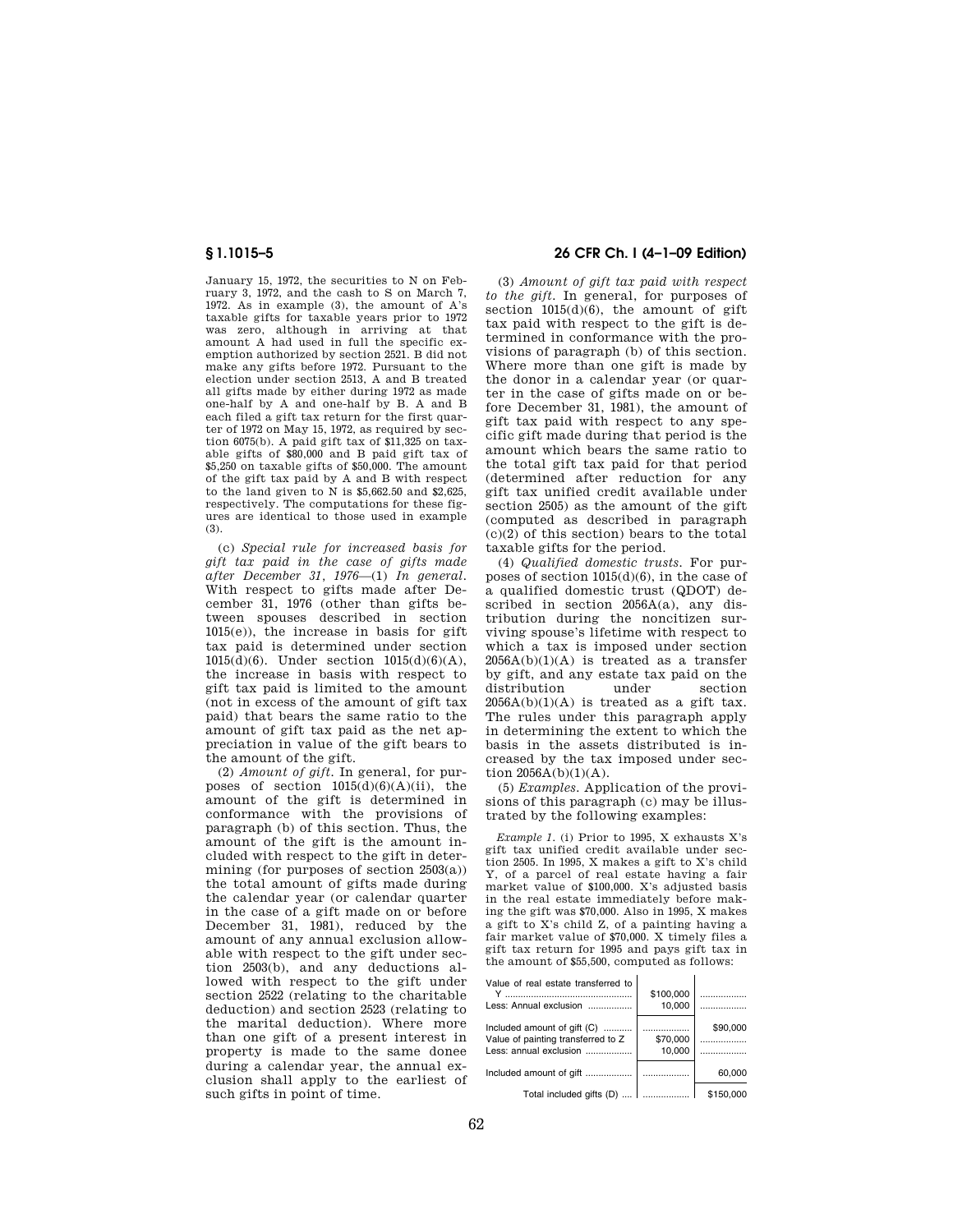January 15, 1972, the securities to N on February 3, 1972, and the cash to S on March 7, 1972. As in example (3), the amount of A's taxable gifts for taxable years prior to 1972 was zero, although in arriving at that amount A had used in full the specific exemption authorized by section 2521. B did not make any gifts before 1972. Pursuant to the election under section 2513, A and B treated all gifts made by either during 1972 as made one-half by A and one-half by B. A and B each filed a gift tax return for the first quarter of 1972 on May 15, 1972, as required by section 6075(b). A paid gift tax of \$11,325 on taxable gifts of \$80,000 and B paid gift tax of \$5,250 on taxable gifts of \$50,000. The amount of the gift tax paid by A and B with respect to the land given to N is \$5,662.50 and \$2,625, respectively. The computations for these figures are identical to those used in example (3).

(c) *Special rule for increased basis for gift tax paid in the case of gifts made after December 31, 1976*—(1) *In general.*  With respect to gifts made after December 31, 1976 (other than gifts between spouses described in section 1015(e)), the increase in basis for gift tax paid is determined under section 1015(d)(6). Under section 1015(d)(6)(A), the increase in basis with respect to gift tax paid is limited to the amount (not in excess of the amount of gift tax paid) that bears the same ratio to the amount of gift tax paid as the net appreciation in value of the gift bears to the amount of the gift.

(2) *Amount of gift.* In general, for purposes of section  $1015(d)(6)(A)(ii)$ , the amount of the gift is determined in conformance with the provisions of paragraph (b) of this section. Thus, the amount of the gift is the amount included with respect to the gift in determining (for purposes of section  $2503(a)$ ) the total amount of gifts made during the calendar year (or calendar quarter in the case of a gift made on or before December 31, 1981), reduced by the amount of any annual exclusion allowable with respect to the gift under section 2503(b), and any deductions allowed with respect to the gift under section 2522 (relating to the charitable deduction) and section 2523 (relating to the marital deduction). Where more than one gift of a present interest in property is made to the same donee during a calendar year, the annual exclusion shall apply to the earliest of such gifts in point of time.

# **§ 1.1015–5 26 CFR Ch. I (4–1–09 Edition)**

(3) *Amount of gift tax paid with respect to the gift.* In general, for purposes of section  $1015(d)(6)$ , the amount of gift tax paid with respect to the gift is determined in conformance with the provisions of paragraph (b) of this section. Where more than one gift is made by the donor in a calendar year (or quarter in the case of gifts made on or before December 31, 1981), the amount of gift tax paid with respect to any specific gift made during that period is the amount which bears the same ratio to the total gift tax paid for that period (determined after reduction for any gift tax unified credit available under section 2505) as the amount of the gift (computed as described in paragraph  $(c)(2)$  of this section) bears to the total taxable gifts for the period.

(4) *Qualified domestic trusts.* For purposes of section 1015(d)(6), in the case of a qualified domestic trust (QDOT) described in section 2056A(a), any distribution during the noncitizen surviving spouse's lifetime with respect to which a tax is imposed under section  $2056A(b)(1)(A)$  is treated as a transfer by gift, and any estate tax paid on the distribution under section  $2056A(b)(1)(A)$  is treated as a gift tax. The rules under this paragraph apply in determining the extent to which the basis in the assets distributed is increased by the tax imposed under section  $2056A(b)(1)(A)$ .

(5) *Examples.* Application of the provisions of this paragraph (c) may be illustrated by the following examples:

*Example 1.* (i) Prior to 1995, X exhausts X's gift tax unified credit available under section 2505. In 1995, X makes a gift to X's child Y, of a parcel of real estate having a fair market value of \$100,000. X's adjusted basis in the real estate immediately before making the gift was \$70,000. Also in 1995, X makes a gift to X's child Z, of a painting having a fair market value of \$70,000. X timely files a gift tax return for 1995 and pays gift tax in the amount of \$55,500, computed as follows:

| Value of real estate transferred to |   |
|-------------------------------------|---|
|                                     | . |

| Less: Annual exclusion             | 10.000   | . <b>.</b> . |
|------------------------------------|----------|--------------|
| Included amount of gift (C)        | .        | \$90,000     |
| Value of painting transferred to Z | \$70,000 |              |
| Less: annual exclusion             | 10.000   | .            |
| Included amount of gift            | .        | 60.000       |
| Total included gifts (D)           | .        | \$150,000    |